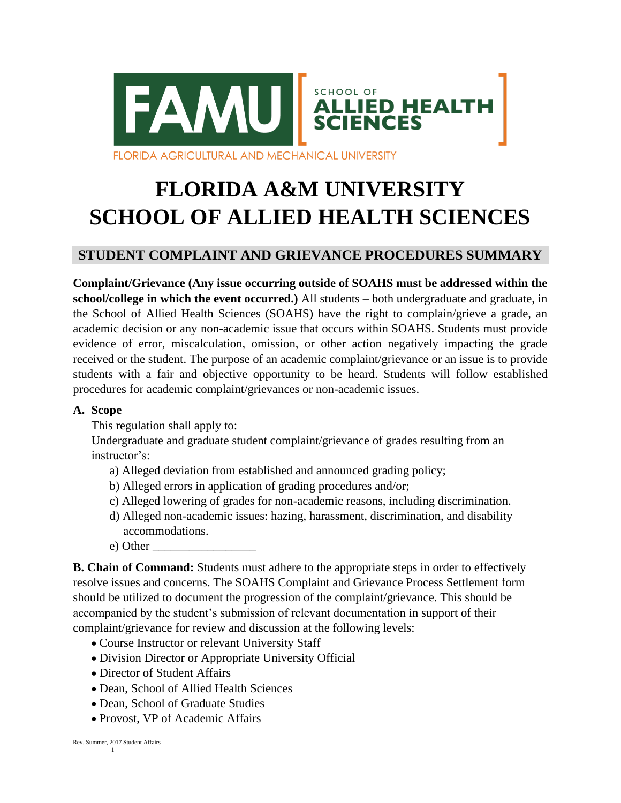

# **FLORIDA A&M UNIVERSITY SCHOOL OF ALLIED HEALTH SCIENCES**

# **STUDENT COMPLAINT AND GRIEVANCE PROCEDURES SUMMARY**

**Complaint/Grievance (Any issue occurring outside of SOAHS must be addressed within the school/college in which the event occurred.)** All students – both undergraduate and graduate, in the School of Allied Health Sciences (SOAHS) have the right to complain/grieve a grade, an academic decision or any non-academic issue that occurs within SOAHS. Students must provide evidence of error, miscalculation, omission, or other action negatively impacting the grade received or the student. The purpose of an academic complaint/grievance or an issue is to provide students with a fair and objective opportunity to be heard. Students will follow established procedures for academic complaint/grievances or non-academic issues.

#### **A. Scope**

This regulation shall apply to:

Undergraduate and graduate student complaint/grievance of grades resulting from an instructor's:

- a) Alleged deviation from established and announced grading policy;
- b) Alleged errors in application of grading procedures and/or;
- c) Alleged lowering of grades for non-academic reasons, including discrimination.
- d) Alleged non-academic issues: hazing, harassment, discrimination, and disability accommodations.
- e) Other \_\_\_\_\_\_\_\_\_\_\_\_\_\_\_\_\_

**B. Chain of Command:** Students must adhere to the appropriate steps in order to effectively resolve issues and concerns. The SOAHS Complaint and Grievance Process Settlement form should be utilized to document the progression of the complaint/grievance. This should be accompanied by the student's submission of relevant documentation in support of their complaint/grievance for review and discussion at the following levels:

- Course Instructor or relevant University Staff
- Division Director or Appropriate University Official
- Director of Student Affairs
- Dean, School of Allied Health Sciences
- Dean, School of Graduate Studies
- Provost, VP of Academic Affairs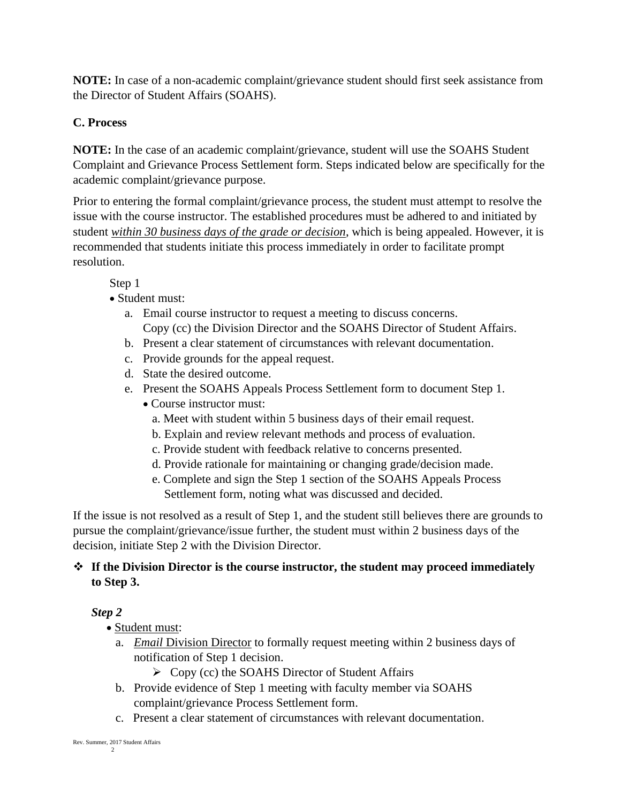**NOTE:** In case of a non-academic complaint/grievance student should first seek assistance from the Director of Student Affairs (SOAHS).

## **C. Process**

**NOTE:** In the case of an academic complaint/grievance, student will use the SOAHS Student Complaint and Grievance Process Settlement form. Steps indicated below are specifically for the academic complaint/grievance purpose.

Prior to entering the formal complaint/grievance process, the student must attempt to resolve the issue with the course instructor. The established procedures must be adhered to and initiated by student *within 30 business days of the grade or decision*, which is being appealed. However, it is recommended that students initiate this process immediately in order to facilitate prompt resolution.

Step 1

#### • Student must:

- a. Email course instructor to request a meeting to discuss concerns. Copy (cc) the Division Director and the SOAHS Director of Student Affairs.
- b. Present a clear statement of circumstances with relevant documentation.
- c. Provide grounds for the appeal request.
- d. State the desired outcome.
- e. Present the SOAHS Appeals Process Settlement form to document Step 1.
	- Course instructor must:
		- a. Meet with student within 5 business days of their email request.
		- b. Explain and review relevant methods and process of evaluation.
		- c. Provide student with feedback relative to concerns presented.
		- d. Provide rationale for maintaining or changing grade/decision made.
		- e. Complete and sign the Step 1 section of the SOAHS Appeals Process Settlement form, noting what was discussed and decided.

If the issue is not resolved as a result of Step 1, and the student still believes there are grounds to pursue the complaint/grievance/issue further, the student must within 2 business days of the decision, initiate Step 2 with the Division Director.

#### ❖ **If the Division Director is the course instructor, the student may proceed immediately to Step 3.**

## *Step 2*

- Student must:
	- a. *Email* Division Director to formally request meeting within 2 business days of notification of Step 1 decision.
		- ➢ Copy (cc) the SOAHS Director of Student Affairs
	- b. Provide evidence of Step 1 meeting with faculty member via SOAHS complaint/grievance Process Settlement form.
	- c. Present a clear statement of circumstances with relevant documentation.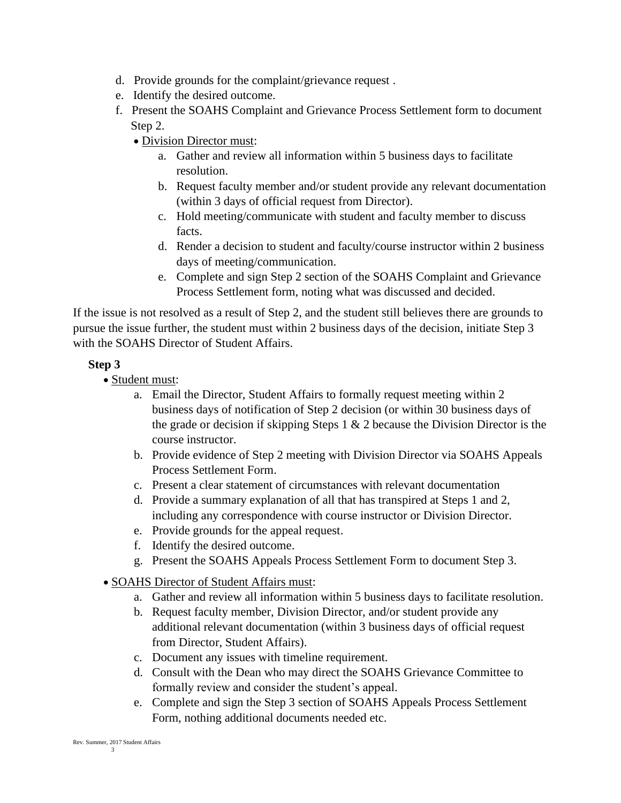- d. Provide grounds for the complaint/grievance request .
- e. Identify the desired outcome.
- f. Present the SOAHS Complaint and Grievance Process Settlement form to document Step 2.
	- Division Director must:
		- a. Gather and review all information within 5 business days to facilitate resolution.
		- b. Request faculty member and/or student provide any relevant documentation (within 3 days of official request from Director).
		- c. Hold meeting/communicate with student and faculty member to discuss facts.
		- d. Render a decision to student and faculty/course instructor within 2 business days of meeting/communication.
		- e. Complete and sign Step 2 section of the SOAHS Complaint and Grievance Process Settlement form, noting what was discussed and decided.

If the issue is not resolved as a result of Step 2, and the student still believes there are grounds to pursue the issue further, the student must within 2 business days of the decision, initiate Step 3 with the SOAHS Director of Student Affairs.

#### **Step 3**

- Student must:
	- a. Email the Director, Student Affairs to formally request meeting within 2 business days of notification of Step 2 decision (or within 30 business days of the grade or decision if skipping Steps  $1 \& 2$  because the Division Director is the course instructor.
	- b. Provide evidence of Step 2 meeting with Division Director via SOAHS Appeals Process Settlement Form.
	- c. Present a clear statement of circumstances with relevant documentation
	- d. Provide a summary explanation of all that has transpired at Steps 1 and 2, including any correspondence with course instructor or Division Director.
	- e. Provide grounds for the appeal request.
	- f. Identify the desired outcome.
	- g. Present the SOAHS Appeals Process Settlement Form to document Step 3.
- SOAHS Director of Student Affairs must:
	- a. Gather and review all information within 5 business days to facilitate resolution.
	- b. Request faculty member, Division Director, and/or student provide any additional relevant documentation (within 3 business days of official request from Director, Student Affairs).
	- c. Document any issues with timeline requirement.
	- d. Consult with the Dean who may direct the SOAHS Grievance Committee to formally review and consider the student's appeal.
	- e. Complete and sign the Step 3 section of SOAHS Appeals Process Settlement Form, nothing additional documents needed etc.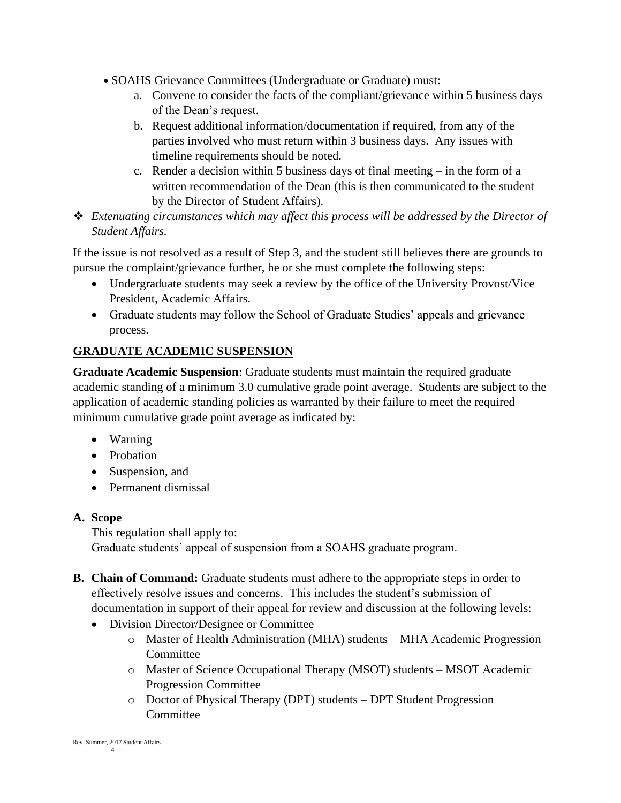- SOAHS Grievance Committees (Undergraduate or Graduate) must:
	- a. Convene to consider the facts of the compliant/grievance within 5 business days of the Dean's request.
	- b. Request additional information/documentation if required, from any of the parties involved who must return within 3 business days. Any issues with timeline requirements should be noted.
	- c. Render a decision within 5 business days of final meeting in the form of a written recommendation of the Dean (this is then communicated to the student by the Director of Student Affairs).
- ❖ *Extenuating circumstances which may affect this process will be addressed by the Director of Student Affairs.*

If the issue is not resolved as a result of Step 3, and the student still believes there are grounds to pursue the complaint/grievance further, he or she must complete the following steps:

- Undergraduate students may seek a review by the office of the University Provost/Vice President, Academic Affairs.
- Graduate students may follow the School of Graduate Studies' appeals and grievance process.

# **GRADUATE ACADEMIC SUSPENSION**

**Graduate Academic Suspension**: Graduate students must maintain the required graduate academic standing of a minimum 3.0 cumulative grade point average. Students are subject to the application of academic standing policies as warranted by their failure to meet the required minimum cumulative grade point average as indicated by:

- Warning
- Probation
- Suspension, and
- Permanent dismissal

#### **A. Scope**

This regulation shall apply to: Graduate students' appeal of suspension from a SOAHS graduate program.

- **B. Chain of Command:** Graduate students must adhere to the appropriate steps in order to effectively resolve issues and concerns. This includes the student's submission of documentation in support of their appeal for review and discussion at the following levels:
	- Division Director/Designee or Committee
		- o Master of Health Administration (MHA) students MHA Academic Progression **Committee**
		- o Master of Science Occupational Therapy (MSOT) students MSOT Academic Progression Committee
		- o Doctor of Physical Therapy (DPT) students DPT Student Progression Committee